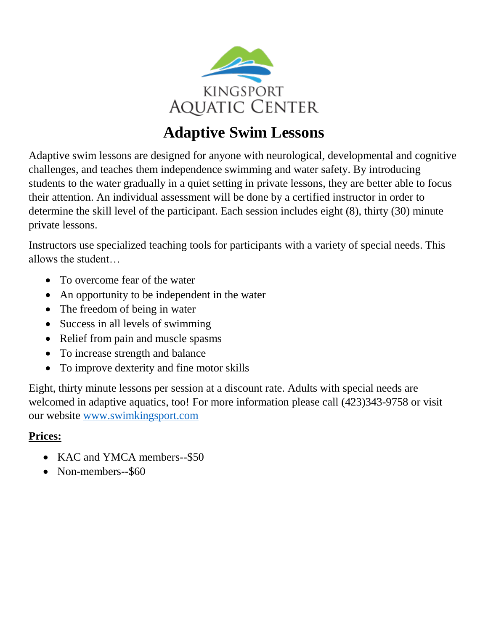

# **Adaptive Swim Lessons**

Adaptive swim lessons are designed for anyone with neurological, developmental and cognitive challenges, and teaches them independence swimming and water safety. By introducing students to the water gradually in a quiet setting in private lessons, they are better able to focus their attention. An individual assessment will be done by a certified instructor in order to determine the skill level of the participant. Each session includes eight (8), thirty (30) minute private lessons.

Instructors use specialized teaching tools for participants with a variety of special needs. This allows the student…

- To overcome fear of the water
- An opportunity to be independent in the water
- The freedom of being in water
- Success in all levels of swimming
- Relief from pain and muscle spasms
- To increase strength and balance
- To improve dexterity and fine motor skills

Eight, thirty minute lessons per session at a discount rate. Adults with special needs are welcomed in adaptive aquatics, too! For more information please call (423)343-9758 or visit our website [www.swimkingsport.com](http://www.swimkingsport.com/)

# **Prices:**

- KAC and YMCA members--\$50
- Non-members--\$60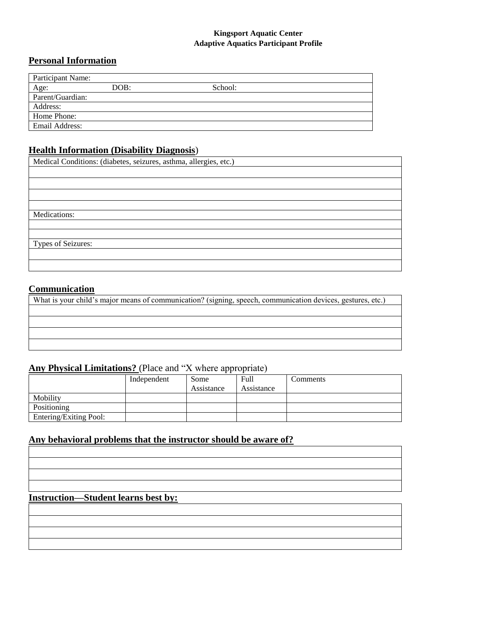#### **Kingsport Aquatic Center Adaptive Aquatics Participant Profile**

#### **Personal Information**

| Participant Name: |      |         |
|-------------------|------|---------|
| Age:              | DOB: | School: |
| Parent/Guardian:  |      |         |
| Address:          |      |         |
| Home Phone:       |      |         |
| Email Address:    |      |         |

#### **Health Information (Disability Diagnosis**)

Medical Conditions: (diabetes, seizures, asthma, allergies, etc.)

Medications:

Types of Seizures:

#### **Communication**

What is your child's major means of communication? (signing, speech, communication devices, gestures, etc.)

### **Any Physical Limitations?** (Place and "X where appropriate)

|                        | Independent | Some       | Full       | Comments |
|------------------------|-------------|------------|------------|----------|
|                        |             | Assistance | Assistance |          |
| Mobility               |             |            |            |          |
| Positioning            |             |            |            |          |
| Entering/Exiting Pool: |             |            |            |          |

#### **Any behavioral problems that the instructor should be aware of?**

| <u> La construcción de la construcción de la construcción de la construcción de la construcción de la construcción </u> |  |  |
|-------------------------------------------------------------------------------------------------------------------------|--|--|
| <u> La componenta de la contrada de la contrada de la contrada de la contrada de la contrada de la contrada de la</u>   |  |  |
|                                                                                                                         |  |  |
|                                                                                                                         |  |  |

## **Instruction—Student learns best by:**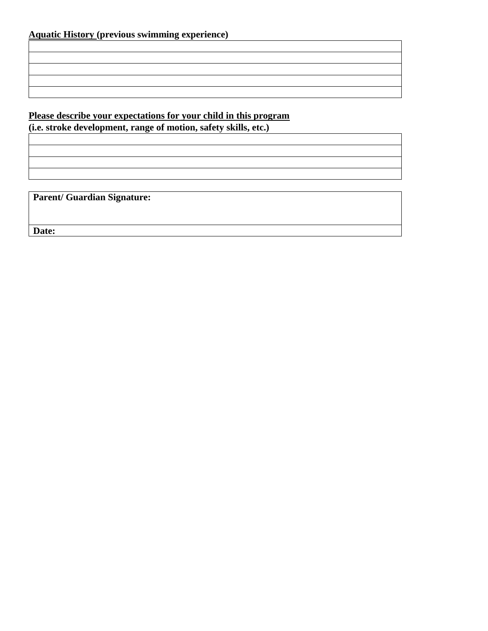# **Please describe your expectations for your child in this program**

**(i.e. stroke development, range of motion, safety skills, etc.)**

**Parent/ Guardian Signature:**

**Date:**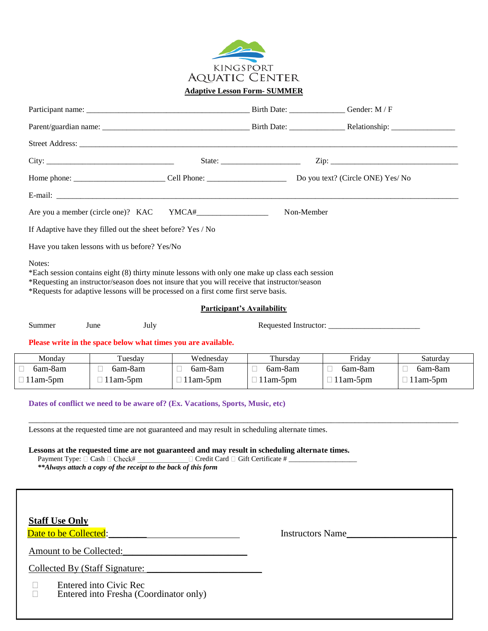

**Adaptive Lesson Form- SUMMER**

|                 |                                                                                                                                                                                                                                                                                                                                                                           |                                      |                                   | $\operatorname{Zip:}$            |                                 |  |
|-----------------|---------------------------------------------------------------------------------------------------------------------------------------------------------------------------------------------------------------------------------------------------------------------------------------------------------------------------------------------------------------------------|--------------------------------------|-----------------------------------|----------------------------------|---------------------------------|--|
|                 |                                                                                                                                                                                                                                                                                                                                                                           |                                      |                                   |                                  |                                 |  |
|                 |                                                                                                                                                                                                                                                                                                                                                                           |                                      |                                   |                                  |                                 |  |
|                 | Are you a member (circle one)? KAC YMCA#                                                                                                                                                                                                                                                                                                                                  |                                      | Non-Member                        |                                  |                                 |  |
|                 | If Adaptive have they filled out the sheet before? Yes / No                                                                                                                                                                                                                                                                                                               |                                      |                                   |                                  |                                 |  |
|                 | Have you taken lessons with us before? Yes/No                                                                                                                                                                                                                                                                                                                             |                                      |                                   |                                  |                                 |  |
|                 | *Requesting an instructor/season does not insure that you will receive that instructor/season<br>*Requests for adaptive lessons will be processed on a first come first serve basis.                                                                                                                                                                                      |                                      | <b>Participant's Availability</b> |                                  |                                 |  |
| Summer          | June<br>July                                                                                                                                                                                                                                                                                                                                                              |                                      |                                   | Requested Instructor:            |                                 |  |
|                 | Please write in the space below what times you are available.                                                                                                                                                                                                                                                                                                             |                                      |                                   |                                  |                                 |  |
| Monday          | Tuesday                                                                                                                                                                                                                                                                                                                                                                   | Wednesday                            | Thursday                          | Friday                           | Saturday                        |  |
| 6am-8am         | 6am-8am<br>$\Box$<br>$\Box$ 11am-5pm                                                                                                                                                                                                                                                                                                                                      | 6am-8am<br>$\Box$<br>$\Box$ 11am-5pm | 6am-8am<br>H.<br>$\Box$ 11am-5pm  | 6am-8am<br>П.<br>$\Box$ 11am-5pm | 6am-8am<br>П<br>$\Box$ 11am-5pm |  |
| $\Box$ 11am-5pm | Dates of conflict we need to be aware of? (Ex. Vacations, Sports, Music, etc)                                                                                                                                                                                                                                                                                             |                                      |                                   |                                  |                                 |  |
|                 | Lessons at the requested time are not guaranteed and may result in scheduling alternate times.<br>Lessons at the requested time are not guaranteed and may result in scheduling alternate times.<br>Payment Type: □ Cash □ Check# Card □ Credit Card □ Gift Certificate # _____________________________<br>**Always attach a copy of the receipt to the back of this form |                                      |                                   |                                  |                                 |  |